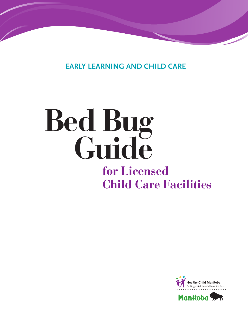**EARLY LEARNING AND CHILD CARE**

# **Bed Bug Guide for Licensed Child Care Facilities**

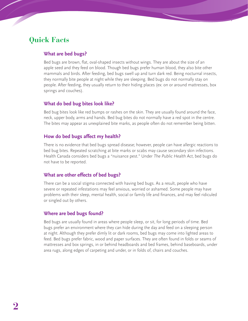# **Quick Facts**

## **What are bed bugs?**

Bed bugs are brown, flat, oval-shaped insects without wings. They are about the size of an apple seed and they feed on blood. Though bed bugs prefer human blood, they also bite other mammals and birds. After feeding, bed bugs swell up and turn dark red. Being nocturnal insects, they normally bite people at night while they are sleeping. Bed bugs do not normally stay on people. After feeding, they usually return to their hiding places (ex: on or around mattresses, box springs and couches).

## **What do bed bug bites look like?**

Bed bug bites look like red bumps or rashes on the skin. They are usually found around the face, neck, upper body, arms and hands. Bed bug bites do not normally have a red spot in the centre. The bites may appear as unexplained bite marks, as people often do not remember being bitten.

# **How do bed bugs affect my health?**

There is no evidence that bed bugs spread disease; however, people can have allergic reactions to bed bug bites. Repeated scratching at bite marks or scabs may cause secondary skin infections. Health Canada considers bed bugs a "nuisance pest." Under The Public Health Act, bed bugs do not have to be reported.

# **What are other effects of bed bugs?**

There can be a social stigma connected with having bed bugs. As a result, people who have severe or repeated infestations may feel anxious, worried or ashamed. Some people may have problems with their sleep, mental health, social or family life and finances, and may feel ridiculed or singled out by others.

# **Where are bed bugs found?**

Bed bugs are usually found in areas where people sleep, or sit, for long periods of time. Bed bugs prefer an environment where they can hide during the day and feed on a sleeping person at night. Although they prefer dimly lit or dark rooms, bed bugs may come into lighted areas to feed. Bed bugs prefer fabric, wood and paper surfaces. They are often found in folds or seams of mattresses and box springs, in or behind headboards and bed frames, behind baseboards, under area rugs, along edges of carpeting and under, or in folds of, chairs and couches.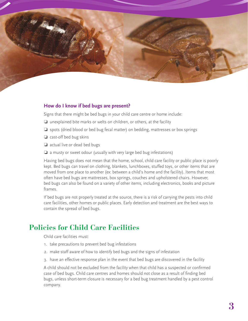

#### **How do I know if bed bugs are present?**

Signs that there might be bed bugs in your child care centre or home include:

- ❏ unexplained bite marks or welts on children, or others, at the facility
- ❏ spots (dried blood or bed bug fecal matter) on bedding, mattresses or box springs
- ❏ cast-off bed bug skins
- ❏ actual live or dead bed bugs
- ❏ a musty or sweet odour (usually with very large bed bug infestations)

Having bed bugs does not mean that the home, school, child care facility or public place is poorly kept. Bed bugs can travel on clothing, blankets, lunchboxes, stuffed toys, or other items that are moved from one place to another (ex: between a child's home and the facility). Items that most often have bed bugs are mattresses, box springs, couches and upholstered chairs. However, bed bugs can also be found on a variety of other items, including electronics, books and picture frames.

If bed bugs are not properly treated at the source, there is a risk of carrying the pests into child care facilities, other homes or public places. Early detection and treatment are the best ways to contain the spread of bed bugs.

# **Policies for Child Care Facilities**

Child care facilities must:

- 1. take precautions to prevent bed bug infestations
- 2. make staff aware of how to identify bed bugs and the signs of infestation
- 3. have an effective response plan in the event that bed bugs are discovered in the facility

A child should not be excluded from the facility when that child has a suspected or confirmed case of bed bugs. Child care centres and homes should not close as a result of finding bed bugs, unless short-term closure is necessary for a bed bug treatment handled by a pest control company.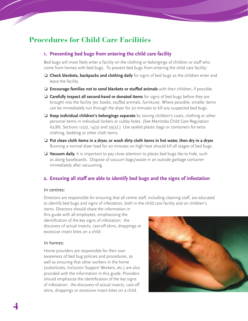# **Procedures for Child Care Facilities**

## **1. Preventing bed bugs from entering the child care facility**

Bed bugs will most likely enter a facility on the clothing or belongings of children or staff who come from homes with bed bugs. To prevent bed bugs from entering the child care facility:

- ❏ **Check blankets, backpacks and clothing daily** for signs of bed bugs as the children enter and leave the facility.
- ❏ **Encourage families not to send blankets or stuffed animals** with their children, if possible.
- ❏ **Carefully inspect all second-hand or donated items** for signs of bed bugs before they are brought into the facility (ex: books, stuffed animals, furniture). Where possible, smaller items can be immediately run through the dryer for 20 minutes to kill any suspected bed bugs.
- ❏ **Keep individual children's belongings separate** by storing children's coats, clothing or other personal items in individual lockers or cubby holes. (See Manitoba Child Care Regulation  $62/86$ , Sections 12(2), 14(2) and 29(2).) Use sealed plastic bags or containers for extra clothing, bedding or other cloth items.
- ❏ **Put clean cloth items in a dryer, or wash dirty cloth items in hot water, then dry in a dryer.** Running a normal dryer load for 20 minutes on high heat should kill all stages of bed bugs.
- ❏ **Vacuum daily.** It is important to pay close attention to places bed bugs like to hide, such as along baseboards. Dispose of vacuum bags/waste in an outside garbage container immediately after vacuuming.

# **2. Ensuring all staff are able to identify bed bugs and the signs of infestation**

#### In centres:

Directors are responsible for ensuring that all centre staff, including cleaning staff, are educated to identify bed bugs and signs of infestation, both in the child care facility and on children's

items. Directors should share the information in this guide with all employees, emphasizing the identification of the key signs of infestation: the discovery of actual insects, cast-off skins, droppings or excessive insect bites on a child.

#### In homes:

Home providers are responsible for their own awareness of bed bug policies and procedures, as well as ensuring that other workers in the home (substitutes, Inclusion Support Workers, etc.) are also provided with the information in this guide. Providers should emphasize the identification of the key signs of infestation: the discovery of actual insects, cast-off skins, droppings or excessive insect bites on a child.

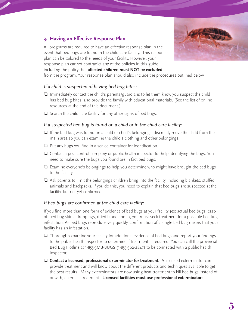

# **3. Having an Effective Response Plan**

All programs are required to have an effective response plan in the event that bed bugs are found in the child care facility. This response plan can be tailored to the needs of your facility. However, your response plan cannot contradict any of the policies in this guide, including the policy that **affected children must NOT be excluded**

from the program. Your response plan should also include the procedures outlined below.

## If a child is suspected of having bed bug bites:

- ❏ Immediately contact the child's parents/guardians to let them know you suspect the child has bed bug bites, and provide the family with educational materials. (See the list of online resources at the end of this document.)
- ❏ Search the child care facility for any other signs of bed bugs.

## If a suspected bed bug is found on a child or in the child care facility:

- ❏ If the bed bug was found on a child or child's belongings, discreetly move the child from the main area so you can examine the child's clothing and other belongings.
- ❏ Put any bugs you find in a sealed container for identification.
- ❏ Contact a pest control company or public health inspector for help identifying the bugs. You need to make sure the bugs you found are in fact bed bugs.
- ❏ Examine everyone's belongings to help you determine who might have brought the bed bugs to the facility.
- ❏ Ask parents to limit the belongings children bring into the facility, including blankets, stuffed animals and backpacks. If you do this, you need to explain that bed bugs are suspected at the facility, but not yet confirmed.

## If bed bugs are confirmed at the child care facility:

If you find more than one form of evidence of bed bugs at your facility (ex: actual bed bugs, castoff bed bug skins, droppings, dried blood spots), you must seek treatment for a possible bed bug infestation. As bed bugs reproduce very quickly, confirmation of a single bed bug means that your facility has an infestation.

- ❏ Thoroughly examine your facility for additional evidence of bed bugs and report your findings to the public health inspector to determine if treatment is required. You can call the provincial Bed Bug Hotline at 1-855-3MB-BUGS (1-855-362-2847) to be connected with a public health inspector.
- ❏ **Contact a licensed, professional exterminator for treatment.** A licensed exterminator can provide treatment and will know about the different products and techniques available to get the best results. Many exterminators are now using heat treatment to kill bed bugs instead of, or with, chemical treatment. **Licensed facilities must use professional exterminators.**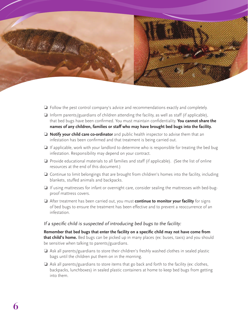

- ❏ Follow the pest control company's advice and recommendations exactly and completely.
- ❏ Inform parents/guardians of children attending the facility, as well as staff (if applicable), that bed bugs have been confirmed. You must maintain confidentiality. **You cannot share the names of any children, families or staff who may have brought bed bugs into the facility.**
- ❏ **Notify your child care co-ordinator** and public health inspector to advise them that an infestation has been confirmed and that treatment is being carried out.
- ❏ If applicable, work with your landlord to determine who is responsible for treating the bed bug infestation. Responsibility may depend on your contract.
- ❏ Provide educational materials to all families and staff (if applicable). (See the list of online resources at the end of this document.)
- ❏ Continue to limit belongings that are brought from children's homes into the facility, including blankets, stuffed animals and backpacks.
- ❏ If using mattresses for infant or overnight care, consider sealing the mattresses with bed-bugproof mattress covers.
- ❏ After treatment has been carried out, you must **continue to monitor your facility** for signs of bed bugs to ensure the treatment has been effective and to prevent a reoccurrence of an infestation.

#### If a specific child is suspected of introducing bed bugs to the facility:

**Remember that bed bugs that enter the facility on a specific child may not have come from that child's home.** Bed bugs can be picked up in many places (ex: buses, taxis) and you should be sensitive when talking to parents/guardians.

- ❏ Ask all parents/guardians to store their children's freshly washed clothes in sealed plastic bags until the children put them on in the morning.
- $\Box$  Ask all parents/guardians to store items that go back and forth to the facility (ex: clothes, backpacks, lunchboxes) in sealed plastic containers at home to keep bed bugs from getting into them.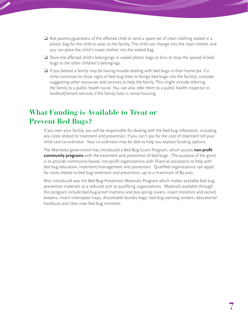- ❏ Ask parents/guardians of the affected child to send a spare set of clean clothing sealed in a plastic bag for the child to wear at the facility. The child can change into the clean clothes and you can place the child's travel clothes into the sealed bag.
- ❏ Store the affected child's belongings in sealed plastic bags or bins to stop the spread of bed bugs to the other children's belongings.
- ❏ If you believe a family may be having trouble dealing with bed bugs in their home (ex: if a child continues to show signs of bed bug bites or brings bed bugs into the facility), consider suggesting other resources and services to help the family. This might include referring the family to a public health nurse. You can also refer them to a public health inspector or landlord/tenant services if the family lives in rental housing.

# **What Funding is Available to Treat or Prevent Bed Bugs?**

If you own your facility, you will be responsible for dealing with the bed bug infestation, including any costs related to treatment and prevention. If you can't pay for the cost of treatment tell your child care co-ordinator. Your co-ordinator may be able to help you explore funding options.

The Manitoba government has introduced a Bed Bug Grant Program, which assists **non-profit community programs** with the treatment and prevention of bed bugs. The purpose of the grant is to provide community-based, non-profit organizations with financial assistance to help with bed bug education, treatment/management and prevention. Qualified organizations can apply for costs related to bed bug treatment and prevention, up to a maximum of \$2,000.

Also introduced was the Bed Bug Prevention Materials Program which makes available bed bug prevention materials at a reduced cost to qualifying organizations. Materials available through this program include bed-bug-proof mattress and box-spring covers, insect monitors and record keepers, insect interceptor traps, dissolvable laundry bags, bed bug warning stickers, educational handouts and clear-view bed bug monitors.